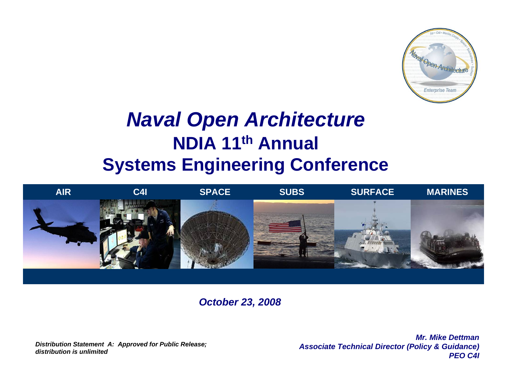

# *Naval Open Architecture* **NDIA 11th Annual Systems Engineering Conference**



*October 23, 2008*

*Distribution Statement A: Approved for Public Release; distribution is unlimited*

*Mr. Mike DettmanAssociate Technical Director (Policy & Guidance) PEO C4I*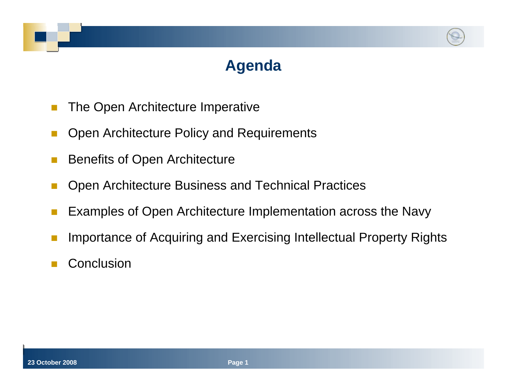# **Agenda**

- Π The Open Architecture Imperative
- Π Open Architecture Policy and Requirements
- Benefits of Open Architecture
- Π Open Architecture Business and Technical Practices
- Π Examples of Open Architecture Implementation across the Navy
- Importance of Acquiring and Exercising Intellectual Property Rights
- Π **Conclusion**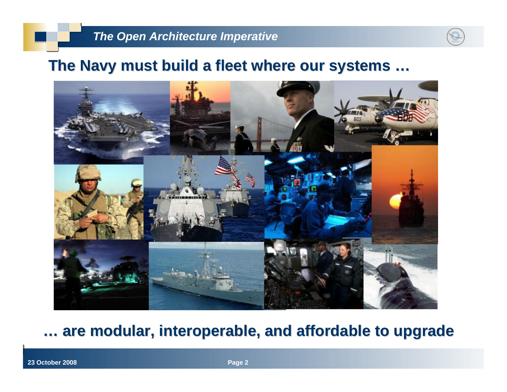### The Navy must build a fleet where our systems ...



# **… are modular, interoperable, and affordable to upgrade are modular, interoperable, and affordable to upgrade**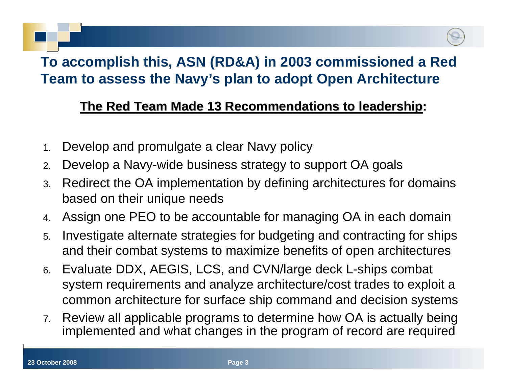# **To accomplish this, ASN (RD&A) in 2003 commissioned a Red Team to assess the Navy's plan to adopt Open Architecture**

### **The Red Team Made 13 Recommendations to leadership:**

- 1.Develop and promulgate a clear Navy policy
- 2.Develop a Navy-wide business strategy to support OA goals
- 3. Redirect the OA implementation by defining architectures for domains based on their unique needs
- 4.Assign one PEO to be accountable for managing OA in each domain
- 5. Investigate alternate strategies for budgeting and contracting for ships and their combat systems to maximize benefits of open architectures
- 6. Evaluate DDX, AEGIS, LCS, and CVN/large deck L-ships combat system requirements and analyze architecture/cost trades to exploit a common architecture for surface ship command and decision systems
- 7. Review all applicable programs to determine how OA is actually being implemented and what changes in the program of record are required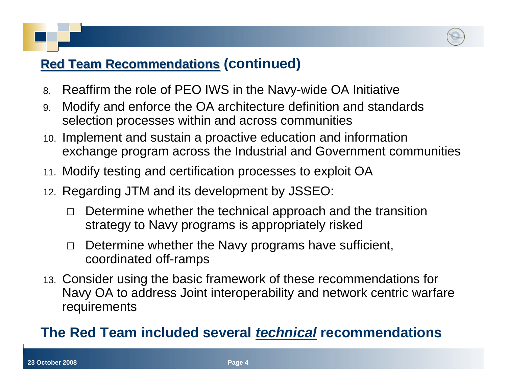### **Red Team Recommendations Red Team Recommendations(continued)**

- 8.Reaffirm the role of PEO IWS in the Navy-wide OA Initiative
- 9. Modify and enforce the OA architecture definition and standards selection processes within and across communities
- 10. Implement and sustain a proactive education and information exchange program across the Industrial and Government communities
- 11. Modify testing and certification processes to exploit OA
- 12. Regarding JTM and its development by JSSEO:
	- $\Box$  Determine whether the technical approach and the transition strategy to Navy programs is appropriately risked
	- $\Box$  Determine whether the Navy programs have sufficient, coordinated off-ramps
- 13. Consider using the basic framework of these recommendations for Navy OA to address Joint interoperability and network centric warfare requirements

## **The Red Team included several** *technical* **recommendations**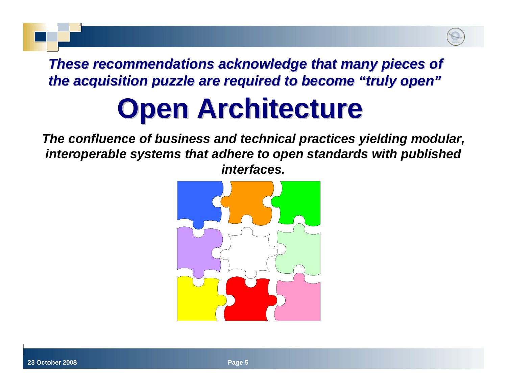# **These recommendations acknowledge that many pieces of** *the acquisition puzzle are required to become the acquisition puzzle are required to become "truly open truly open"*

# **Closed Architecture**

*"A system whose technical specifications are not made public. The confluence of business and technical practices yielding modular, interoperable systems that adhere to open standards with published interfaces.* PC magazine  $\alpha$  magazine  $\alpha$  magazine  $\alpha$  magazine  $\alpha$  magazine  $\alpha$  magazine  $\alpha$  magazine  $\alpha$  magazine  $\alpha$  magazine  $\alpha$  magazine  $\alpha$  magazine  $\alpha$  magazine  $\alpha$  magazine  $\alpha$  magazine  $\alpha$  magazin

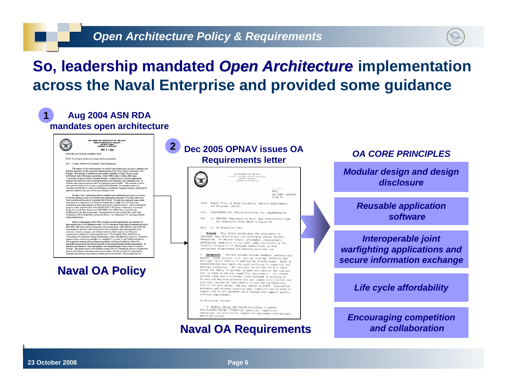

# **So, leadership mandated Open Architecture implementation across the Naval Enterprise and provided some guidance**

#### **1 Aug 2004 ASN RDA mandates open architecture**

THE ASSISTANT SECRETARY OF THE NAVY ENNI SELATE ENNI UP<br>1000 Navy Pentagon<br>Washington DC 98956.1008 ALC: B.C. 2004



MEMORANDUM ROR DISTRIBUTION

SUBJ: Naval Onen Architecture Scone and Responsibilitie Encl: (1) Open Architecture Enterprise Team Organizatio

The purpose of this memorandum is to amplify and expand upon the policy, guidance<br>direction necessary for the successful implementation of the Navy's Open Architecture (OA)<br>Strategy. This strategy is essential as a key en architectures and evolutionary acquisition. DoDD 5000.1 dated 12 May 2003 states: architectures and evolutionary acquisition. DoDD 5000.1 dated 12 May 2003 states:<br>
"Acquisition programs shall be managed through the application of a systemn engineering<br>
approach that optimizes total ysptems performance approach implementing open architecture enterprise wide

In light of this, I initiated an effort to establish open architecture principles as the basi: for an illigent of the Linuxing as enter to state<br>into open and transforme processes in the basis of Organization of a simple<br>of Organization Computer (CKCOMM). The plan was conjunity boxed basis<br>(Computer of the Computer modification to this plan is necessary. The approach to develop a single Navy wide Open<br>Architecture will be modified to account for Surface, Air, Submarine, C41, and Space domain unique requirements

 $[Effective immediately, PEO\,IWS\ is assigned overall responsibility and authority for the Proving the Navy's ONA Enterprise (HCA, A. OCA, Enetereps) and let) to the  $HEC\,IWS$  and let) to the  $HEC\,IWS$  (1999). The Team shall be compared to OAA domain leads, ASN, OPNAV, and SYSCOM represents the  $HSE\,IWS$  and the  $HSE\,IWS$  and  $HSE\,IWS$  are the  $HSE\,IWS$  and  $HSE\,IWS$  are the  $HSE\,IWS$  and  $HSE\$$ requirements in addition to domain specific needs. The Enterprise Team shall define ar requirements in addition to domain specific needs. The Enterprise Team shall define an exception of the converting strategies (i.e., integrated we converting strategies (i.e., integrated we converting strategies (i.e., in

### **Naval OA Policy**



OF THE CHIEF OF NAVAL OPE<br>2000 NAVY PENTAGON<br>WASHINGTON, DC 20156-2020

Ser N6N7/ 50916276 23 Dec 05

9010

- From: Deputy Chief of Naval Operations (Warfare Requirements and Programs) (N6/N7)
- Subj: REQUIREMENT FOR OPEN ARCHITECTURE (OA) IMPLEMENTATION
- Ref: (a) ASN(RDA) Memorandum on Naval Open Architecture Scope and Responsibilities dated 05 August 04
- Encl: (1) OA Enterprise Team

 $\mathbb{R}$ 

1. Purpose. This letter establishes the requirement to implement Open Architecture (OA) principles across the Navy Enterprise. To deliver timely, affordable, interoperable warfighting capability to the fleet, made sustainable by the flexible integration of emerging capabilities, we must incorporate OA processes and business practices now.

2. Background. Warfare systems include hardware, software and Human factors, (i.e. such as training, education and doctrine) factor heavily in warfighting effectiveness. Naval OA transformation must match the rapid evolution in commercial and military technology. Not only must we shorten the kill chain across the family of systems; we must also shorten the time and cost it takes to deliver capability improvements. Our current process takes nearly a decade, costs hundreds of millions of dollars and delivers products that are commercially obsolete and have only incremental improvements in warfighting capability That is not good enough, and must change in POM08. Acquisition processes and business practices must transition now in order to support POM OS and implement agile changes that support rapidly<br>support POM OS and implement agile changes that support rapidly evolving requirements.

OA Principles include:

a. Modular design and design disclosure to permit evolutionary design, technology insertion, competitive<br>innovation, and alternative competitive approaches from multiple<br>movation, and alternative competitive approaches from multiple qualified sources

### **Naval OA Requirements Naval OA Requirements**

### *OA CORE PRINCIPLES*

*[Modular design and design](#page-14-0)  [disclosure](#page-14-0)*

> *[Reusable application](#page-14-0)  [software](#page-14-0)*

*[Interoperable joint](#page-14-0)  [warfighting applications and](#page-14-0)  [secure information exchange](#page-14-0)*

*[Life cycle affordability](#page-14-0)*

*[Encouraging competition](#page-14-0)  [and collaboration](#page-14-0)*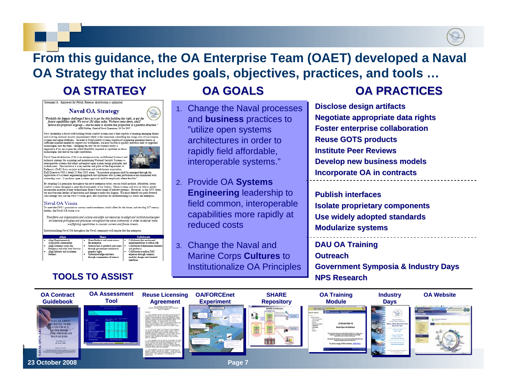## **From this guidance, the OA Enterprise Team (OAET) developed a Naval OA Strategy that includes goals, objectives, practices, and tools …**

### **OA STRATEGY OA STRATEGY**

Statement A: Approved for Public Release; distribution is

#### **Naval OA Strategy**

"Probably the biggest challenge I have is to get the ship building key right, to get the<br>future capabilities right. We are at 281 ships today. We have come down, and I believe are projected to go up - and we need to sustain that projection to a positive direction." - ADM Mullen, Chief of Naval Operations, 26 Oct 2005

Navy laadership is faced with building future combat systems and a fleet canable of meeting emerging threats and evolving national security requirements while at the same time controlling the rising costs of our weapon such a since a single partonics. In order to build combat systems capable of countering emerging threats in systems capable of countering emerging threats in technologies into the Fleet. Changing the way we do business today is

importance is well as the state of the added flexibility required to capitalize on these<br>importive if we are to gain the added flexibility required to capitalize on these<br>technologies and deliver the right capabilities.

Naval Open Architecture (OA) is an enterprise-wide, multifaceted business and technical strategy for acquiring and maintaining National Security Systems as<br>interoperable systems that adopt and exploit open system design principles and<br>architectures. This initiative is a key enables and pillar of the

Defense's (DoD) focus on joint architectures and evolutionary acquisition.<br>Defense's (DoD) focus on joint architectures and evolutionary acquisition.<br>DoD Directive 5000.1 dated 12 May 2003 states: "Acquisition programs sha application of a systems engineering approach that optimizes total system performance and minimized total ownership costs. A modular, open systems approach shall be employed, where feasible."

By adopting OA principles throughout the naval enterprise today, we can build modular, affordable, future combined on designed to meet the future needs of our Sailors. These systems will also be able to readily<br>combini systems designed to meet the future needs of our Sailors. These systems will also be able to readily<br>incorpor we must become leaders of innovation and change to make this happen. We must identify our path forward. This strategy lays out the Navy's vision, goal, and objectives for institionalizing OA across the enterprise.

#### Naval OA Vision

To meet the CNO's priorities to sustain combat readiness, build a fleet for the future, and develop 21" century landary, the Naval OA vision is to-

Transform our organization and culture and align our resources to adopt and institutionalize open architecture principles and processes throughout the naval community in order to deliver more warfighting capabilities to counter current and future threats.

Estitutionalizing Naval OA throughout the Naval community will require that the enterprise:

|  | <b>Align</b>                                                                                  |  | <b>Share</b>                                                                              |  | Collaborate                                                                    |
|--|-----------------------------------------------------------------------------------------------|--|-------------------------------------------------------------------------------------------|--|--------------------------------------------------------------------------------|
|  | Alien Remirements &<br>Accusation communities                                                 |  | Share Products and assets across<br>the enterprise                                        |  | Collaborate three nd-to-end<br>experimentations to reduce risk                 |
|  | Alien Domains across the<br>Enterorise and with Joint Services<br>Alien Industry and Academia |  | Share access to products and assets<br>through government intellectual<br>property rights |  | Collaborate to harmonize standards<br>and midance<br>Collaborate to reduce T&E |
|  | Partners                                                                                      |  | share knowledge and ideas<br>through communities of interest                              |  | expenses through common<br>modular designs and standard.<br>mtarfaces          |

### **TOOLS TO ASSIST**



1. and **business** practices to and **business** practices to "utilize open systems "utilize open systems architectures in order to rapidly field affordable, rapidly field affordable, interoperable systems." interoperable systems."

2. Provide OA **Systems**  2. Provide OA **Systems Engineering** leadership to **Engineering** leadership to field common, interoperable field common, interoperable capabilities more rapidly at capabilities more rapidly at reduced costs

3. Change the Naval and Change the Naval and Marine Corps **Cultures** to Marine Corps **Cultures** to Institutionalize OA Principles Institutionalize OA Principles

### **OA GOALS OA GOALS OA PRACTICES OA PRACTICES**

**Disclose design artifacts Negotiate appropriate data rights Foster enterprise collaboration Foster enterprise collaboration Reuse GOTS products Institute Peer ReviewsDevelop new business models Incorporate OA in contracts**

**Publish interfacesIsolate proprietary components Use widely adopted standards Modularize systems**

**DAU OA Training OutreachGovernment Symposia & Industry Days NPS Research**



**23 October 2008**

**Page 7**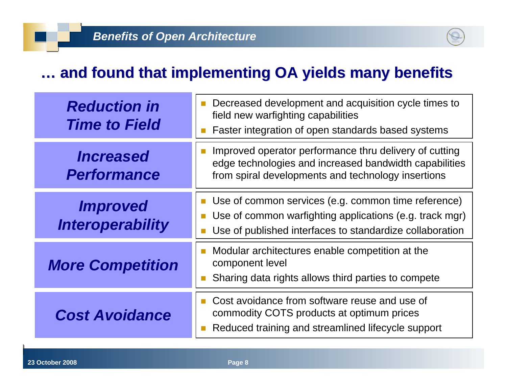# **… and found that implementing OA yields many benefits [and found that implementing OA yields many benefits](#page-14-0)**

| <b>Reduction in</b><br><b>Time to Field</b>       | Decreased development and acquisition cycle times to<br>field new warfighting capabilities<br>Faster integration of open standards based systems                           |
|---------------------------------------------------|----------------------------------------------------------------------------------------------------------------------------------------------------------------------------|
| <i><b>Increased</b></i><br><b>Performance</b>     | Improved operator performance thru delivery of cutting<br>edge technologies and increased bandwidth capabilities<br>from spiral developments and technology insertions     |
| <i><b>Improved</b></i><br><b>Interoperability</b> | Use of common services (e.g. common time reference)<br>Use of common warfighting applications (e.g. track mgr)<br>Use of published interfaces to standardize collaboration |
| <b>More Competition</b>                           | Modular architectures enable competition at the<br>component level<br>Sharing data rights allows third parties to compete                                                  |
| <b>Cost Avoidance</b>                             | Cost avoidance from software reuse and use of<br>commodity COTS products at optimum prices<br>Reduced training and streamlined lifecycle support                           |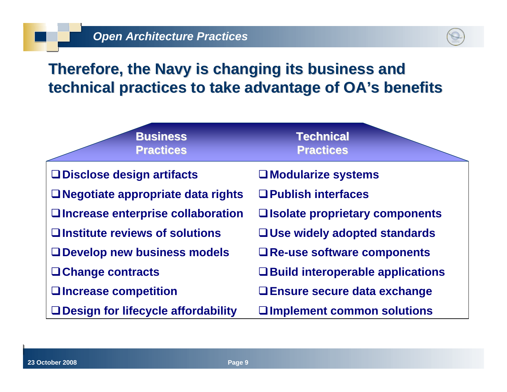# **Therefore, the Navy is changing its business and technical practices to take advantage of OA's benefits**

| <b>Business</b><br><b>Practices</b>      | <b>Technical</b><br><b>Practices</b>    |
|------------------------------------------|-----------------------------------------|
| <b>QDisclose design artifacts</b>        | $\square$ Modularize systems            |
| $\Box$ Negotiate appropriate data rights | $\Box$ Publish interfaces               |
| □ Increase enterprise collaboration      | □ Isolate proprietary components        |
| □ Institute reviews of solutions         | $\Box$ Use widely adopted standards     |
| □ Develop new business models            | $\Box$ Re-use software components       |
| $\Box$ Change contracts                  | $\Box$ Build interoperable applications |
| □ Increase competition                   | $\Box$ Ensure secure data exchange      |
| □ Design for lifecycle affordability     | $\square$ Implement common solutions    |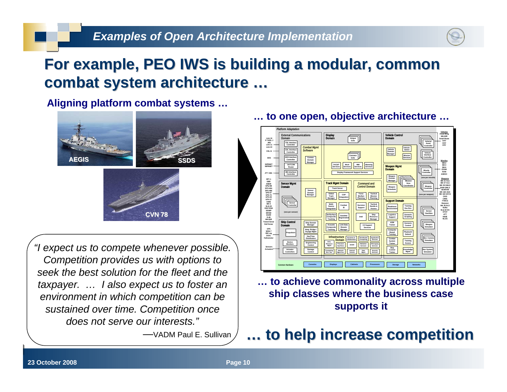

# For example, PEO IWS is building a modular, common combat system architecture ...

**Aligning platform combat systems …**



*"I expect us to compete whenever possible. Competition provides us with options to seek the best solution for the fleet and the taxpayer. … I also expect us to foster an environment in which competition can be sustained over time. Competition once does not serve our interests."*

—VADM Paul E. Sullivan

**… to one open, objective architecture …**



**… to achieve commonality across multiple ship classes where the business case supports it**

# **… to help increase competition to help increase competition**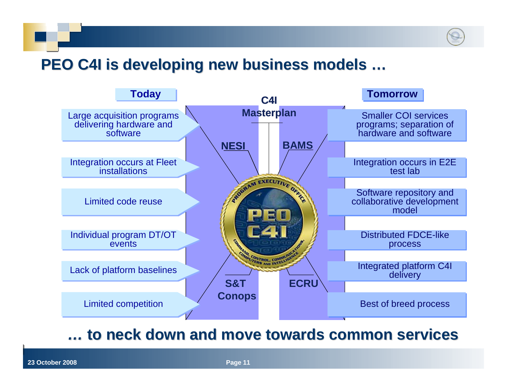# PEO C4I is developing new business models ...



### *…* **to neck down and move towards common services to neck down and move towards common services**

**Page 11**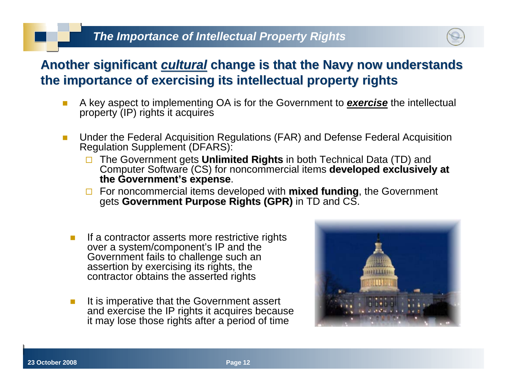### *The Importance of Intellectual Property Rights*



### Another significant *cultural* change is that the Navy now understands **the importance of exercising its the importance of exercising its intellectual property rights intellectual property rights**

- A key aspect to implementing OA is for the Government to *exercise* the intellectual property (IP) rights it acquires
- $\blacksquare$  Under the Federal Acquisition Regulations (FAR) and Defense Federal Acquisition Regulation Supplement (DFARS):
	- $\Box$ The Government gets **Unlimited Rights** in both Technical Data (TD) and<br>Computer Software (CS) for noncommercial items **developed exclusively at the Government's expense s expense**.
	- □ For noncommercial items developed with **mixed funding**, the Government gets **Government Purpose Rights (GPR)** in TD and CS.
	- If a contractor asserts more restrictive rights over a system/component's IP and the Government fails to challenge such an assertion by exercising its rights, the contractor obtains the asserted rights
	- b. It is imperative that the Government assert and exercise the IP rights it acquires because it may lose those rights after a period of time

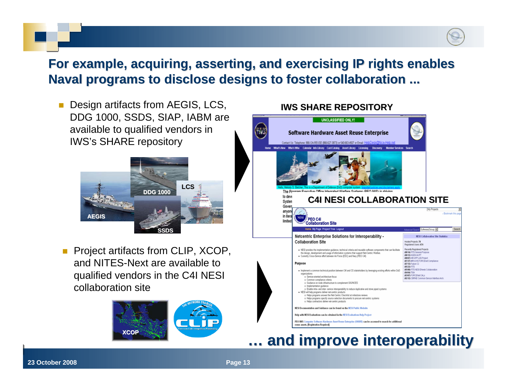### For example, acquiring, asserting, and exercising IP rights enables **Naval programs to disclose designs to foster collaboration ...**

 Design artifacts from AEGIS, LCS, DDG 1000, SSDS, SIAP, IABM are available to qualified vendors in IWS's SHARE repository



F Project artifacts from CLIP, XCOP, and NITES-Next are available to qualified vendors in the C4I NESI collaboration site



### **IWS SHARE REPOSITORY**



# **… and improve interoperability and improve interoperability**

**23 October 2008**

**8 Page 13**